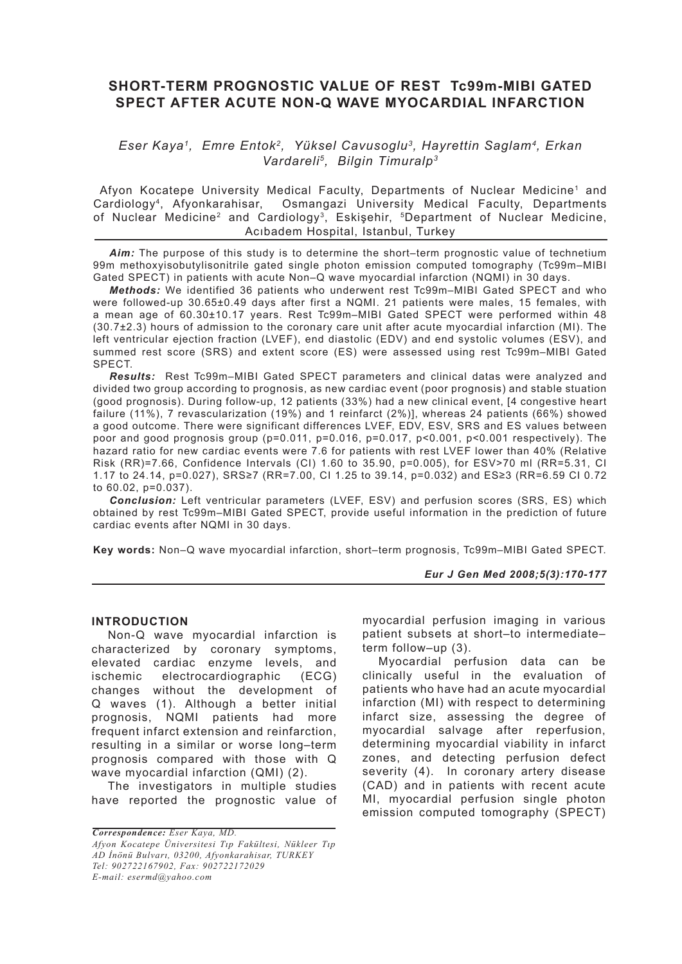# **SHORT-TERM PROGNOSTIC VALUE OF REST Tc99m-MIBI GATED SPECT AFTER ACUTE NON-Q WAVE MYOCARDIAL INFARCTION**

## *Eser Kaya1, Emre Entok2, Yüksel Cavusoglu3, Hayrettin Saglam4, Erkan Vardareli5, Bilgin Timuralp3*

Afyon Kocatepe University Medical Faculty, Departments of Nuclear Medicine<sup>1</sup> and Cardiology4, Afyonkarahisar, Osmangazi University Medical Faculty, Departments of Nuclear Medicine<sup>2</sup> and Cardiology<sup>3</sup>, Eskişehir, <sup>5</sup>Department of Nuclear Medicine, Acıbadem Hospital, Istanbul, Turkey

Aim: The purpose of this study is to determine the short–term prognostic value of technetium 99m methoxyisobutylisonitrile gated single photon emission computed tomography (Tc99m–MIBI Gated SPECT) in patients with acute Non–Q wave myocardial infarction (NQMI) in 30 days.

*Methods:* We identified 36 patients who underwent rest Tc99m–MIBI Gated SPECT and who were followed-up 30.65±0.49 days after first a NQMI. 21 patients were males, 15 females, with a mean age of 60.30±10.17 years. Rest Tc99m–MIBI Gated SPECT were performed within 48 (30.7±2.3) hours of admission to the coronary care unit after acute myocardial infarction (MI). The left ventricular ejection fraction (LVEF), end diastolic (EDV) and end systolic volumes (ESV), and summed rest score (SRS) and extent score (ES) were assessed using rest Tc99m–MIBI Gated SPECT.

*Results:* Rest Tc99m–MIBI Gated SPECT parameters and clinical datas were analyzed and divided two group according to prognosis, as new cardiac event (poor prognosis) and stable stuation (good prognosis). During follow-up, 12 patients (33%) had a new clinical event, [4 congestive heart failure (11%), 7 revascularization (19%) and 1 reinfarct (2%)], whereas 24 patients (66%) showed a good outcome. There were significant differences LVEF, EDV, ESV, SRS and ES values between poor and good prognosis group (p=0.011, p=0.016, p=0.017, p<0.001, p<0.001 respectively). The hazard ratio for new cardiac events were 7.6 for patients with rest LVEF lower than 40% (Relative Risk (RR)=7.66, Confidence Intervals (CI) 1.60 to 35.90, p=0.005), for ESV>70 ml (RR=5.31, CI 1.17 to 24.14, p=0.027), SRS≥7 (RR=7.00, CI 1.25 to 39.14, p=0.032) and ES≥3 (RR=6.59 CI 0.72 to 60.02, p=0.037).

*Conclusion:* Left ventricular parameters (LVEF, ESV) and perfusion scores (SRS, ES) which obtained by rest Tc99m–MIBI Gated SPECT, provide useful information in the prediction of future cardiac events after NQMI in 30 days.

**Key words:** Non–Q wave myocardial infarction, short–term prognosis, Tc99m–MIBI Gated SPECT.

*Eur J Gen Med 2008;5(3):170-177*

### **INTRODUCTION**

Non-Q wave myocardial infarction is characterized by coronary symptoms, elevated cardiac enzyme levels, and ischemic electrocardiographic (ECG) changes without the development of Q waves (1). Although a better initial prognosis, NQMI patients had more frequent infarct extension and reinfarction, resulting in a similar or worse long–term prognosis compared with those with Q wave myocardial infarction (QMI) (2).

The investigators in multiple studies have reported the prognostic value of

*Correspondence: Eser Kaya, MD. Afyon Kocatepe Üniversitesi Tıp Fakültesi, Nükleer Tıp AD İnönü Bulvarı, 03200, Afyonkarahisar, TURKEY Tel: 902722167902, Fax: 902722172029 E-mail: esermd@yahoo.com*

myocardial perfusion imaging in various patient subsets at short–to intermediate– term follow–up (3).

Myocardial perfusion data can be clinically useful in the evaluation of patients who have had an acute myocardial infarction (MI) with respect to determining infarct size, assessing the degree of myocardial salvage after reperfusion, determining myocardial viability in infarct zones, and detecting perfusion defect severity (4). In coronary artery disease (CAD) and in patients with recent acute MI, myocardial perfusion single photon emission computed tomography (SPECT)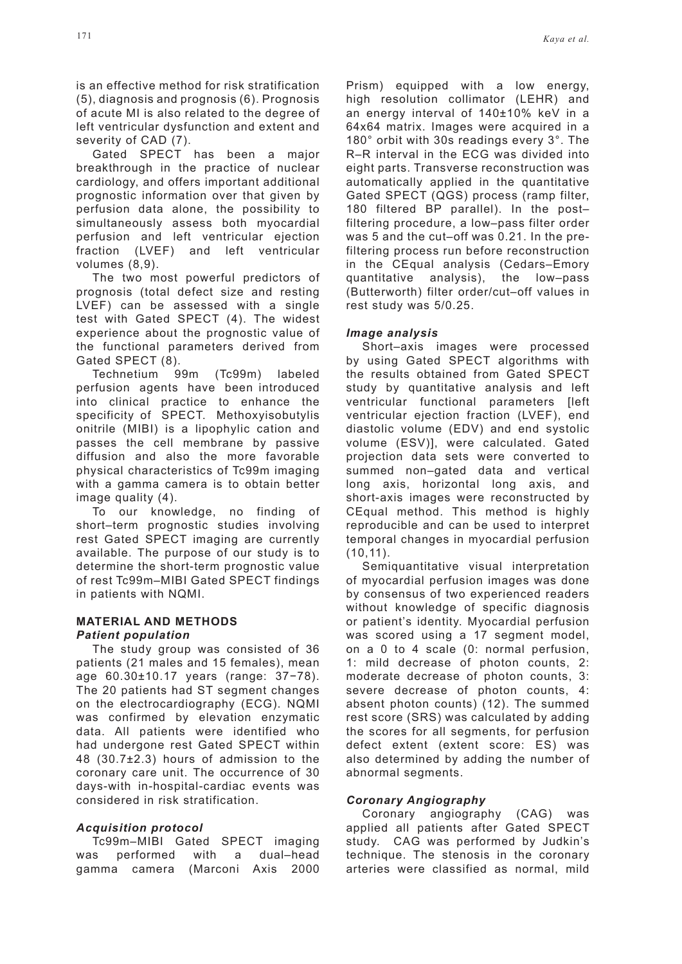is an effective method for risk stratification (5), diagnosis and prognosis (6). Prognosis of acute MI is also related to the degree of left ventricular dysfunction and extent and severity of CAD (7).

Gated SPECT has been a major breakthrough in the practice of nuclear cardiology, and offers important additional prognostic information over that given by perfusion data alone, the possibility to simultaneously assess both myocardial perfusion and left ventricular ejection fraction (LVEF) and left ventricular volumes (8,9).

The two most powerful predictors of prognosis (total defect size and resting LVEF) can be assessed with a single test with Gated SPECT (4). The widest experience about the prognostic value of the functional parameters derived from Gated SPECT (8).

Technetium 99m (Tc99m) labeled perfusion agents have been introduced into clinical practice to enhance the specificity of SPECT. Methoxyisobutylis onitrile (MIBI) is a lipophylic cation and passes the cell membrane by passive diffusion and also the more favorable physical characteristics of Tc99m imaging with a gamma camera is to obtain better image quality (4).

To our knowledge, no finding of short–term prognostic studies involving rest Gated SPECT imaging are currently available. The purpose of our study is to determine the short-term prognostic value of rest Tc99m–MIBI Gated SPECT findings in patients with NQMI.

### **MATERIAL AND METHODS** *Patient population*

The study group was consisted of 36 patients (21 males and 15 females), mean age 60.30±10.17 years (range: 37−78). The 20 patients had ST segment changes on the electrocardiography (ECG). NQMI was confirmed by elevation enzymatic data. All patients were identified who had undergone rest Gated SPECT within 48 (30.7±2.3) hours of admission to the coronary care unit. The occurrence of 30 days-with in-hospital-cardiac events was considered in risk stratification.

### *Acquisition protocol*

Tc99m–MIBI Gated SPECT imaging was performed with a dual–head gamma camera (Marconi Axis 2000 Prism) equipped with a low energy, high resolution collimator (LEHR) and an energy interval of 140±10% keV in a 64x64 matrix. Images were acquired in a 180° orbit with 30s readings every 3°. The R–R interval in the ECG was divided into eight parts. Transverse reconstruction was automatically applied in the quantitative Gated SPECT (QGS) process (ramp filter, 180 filtered BP parallel). In the post– filtering procedure, a low–pass filter order was 5 and the cut–off was 0.21. In the prefiltering process run before reconstruction in the CEqual analysis (Cedars–Emory quantitative analysis), the low–pass (Butterworth) filter order/cut–off values in rest study was 5/0.25.

### *Image analysis*

Short–axis images were processed by using Gated SPECT algorithms with the results obtained from Gated SPECT study by quantitative analysis and left ventricular functional parameters [left ventricular ejection fraction (LVEF), end diastolic volume (EDV) and end systolic volume (ESV)], were calculated. Gated projection data sets were converted to summed non–gated data and vertical long axis, horizontal long axis, and short-axis images were reconstructed by CEqual method. This method is highly reproducible and can be used to interpret temporal changes in myocardial perfusion (10,11).

Semiquantitative visual interpretation of myocardial perfusion images was done by consensus of two experienced readers without knowledge of specific diagnosis or patient's identity. Myocardial perfusion was scored using a 17 segment model, on a 0 to 4 scale (0: normal perfusion, 1: mild decrease of photon counts, 2: moderate decrease of photon counts, 3: severe decrease of photon counts, 4: absent photon counts) (12). The summed rest score (SRS) was calculated by adding the scores for all segments, for perfusion defect extent (extent score: ES) was also determined by adding the number of abnormal segments.

### *Coronary Angiography*

Coronary angiography (CAG) was applied all patients after Gated SPECT study. CAG was performed by Judkin's technique. The stenosis in the coronary arteries were classified as normal, mild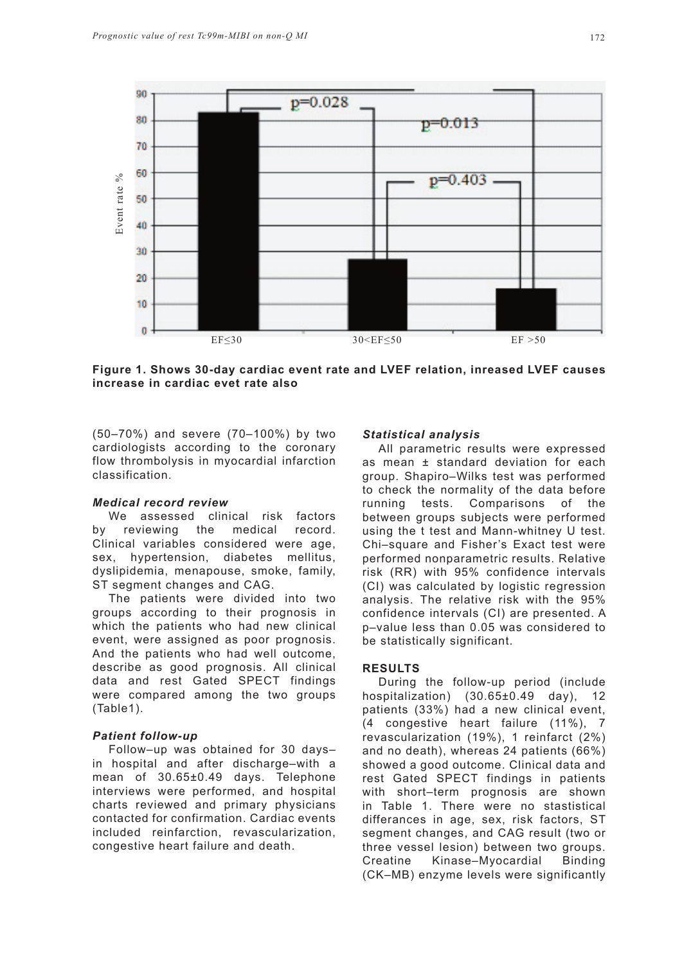

**Figure 1. Shows 30-day cardiac event rate and LVEF relation, inreased LVEF causes** 

(50–70%) and severe (70–100%) by two cardiologists according to the coronary flow thrombolysis in myocardial infarction classification.

#### *Medical record review*

We assessed clinical risk factors by reviewing the medical record. Clinical variables considered were age, sex, hypertension, diabetes mellitus, dyslipidemia, menapouse, smoke, family, ST segment changes and CAG.

The patients were divided into two groups according to their prognosis in which the patients who had new clinical event, were assigned as poor prognosis. And the patients who had well outcome, describe as good prognosis. All clinical data and rest Gated SPECT findings were compared among the two groups (Table1).

### *Patient follow-up*

Follow–up was obtained for 30 days– in hospital and after discharge–with a mean of 30.65±0.49 days. Telephone interviews were performed, and hospital charts reviewed and primary physicians contacted for confirmation. Cardiac events included reinfarction, revascularization, congestive heart failure and death.

#### *Statistical analysis*

All parametric results were expressed as mean ± standard deviation for each group. Shapiro–Wilks test was performed to check the normality of the data before running tests. Comparisons of the between groups subjects were performed using the t test and Mann-whitney U test. Chi–square and Fisher's Exact test were performed nonparametric results. Relative risk (RR) with 95% confidence intervals (CI) was calculated by logistic regression analysis. The relative risk with the 95% confidence intervals (CI) are presented. A p–value less than 0.05 was considered to be statistically significant.

### **RESULTS**

During the follow-up period (include hospitalization) (30.65±0.49 day), 12 patients (33%) had a new clinical event, (4 congestive heart failure (11%), 7 revascularization (19%), 1 reinfarct (2%) and no death), whereas 24 patients (66%) showed a good outcome. Clinical data and rest Gated SPECT findings in patients with short–term prognosis are shown in Table 1. There were no stastistical differances in age, sex, risk factors, ST segment changes, and CAG result (two or three vessel lesion) between two groups. Creatine Kinase–Myocardial Binding (CK–MB) enzyme levels were significantly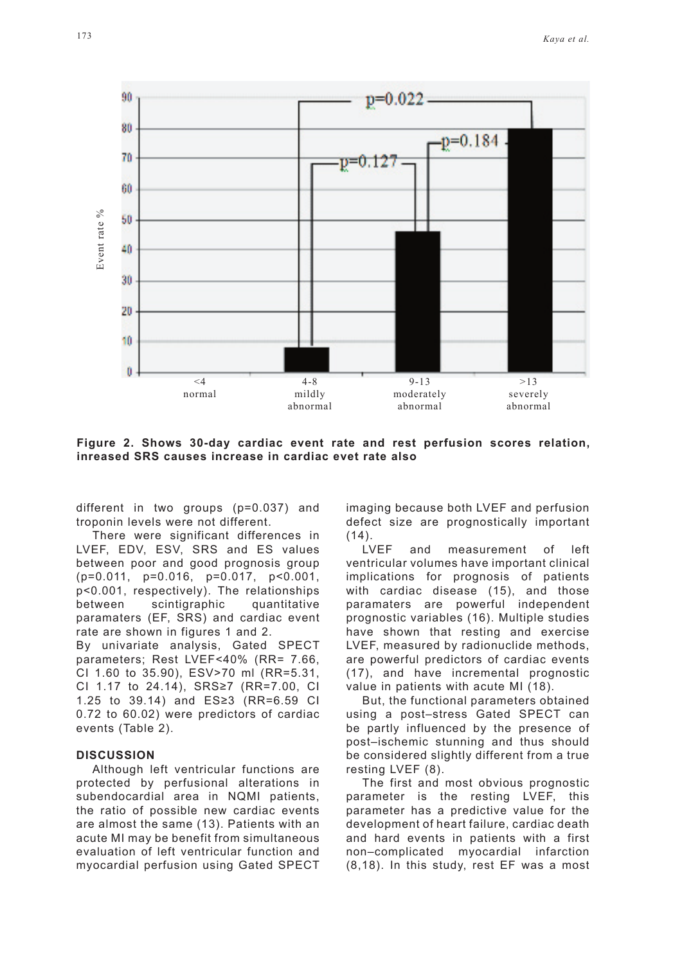

**Figure 2. Shows 30-day cardiac event rate and rest perfusion scores relation,** 

different in two groups (p=0.037) and troponin levels were not different.

There were significant differences in LVEF, EDV, ESV, SRS and ES values between poor and good prognosis group (p=0.011, p=0.016, p=0.017, p<0.001, p<0.001, respectively). The relationships between scintigraphic quantitative paramaters (EF, SRS) and cardiac event rate are shown in figures 1 and 2. By univariate analysis, Gated SPECT

parameters; Rest LVEF<40% (RR= 7.66, CI 1.60 to 35.90), ESV>70 ml (RR=5.31, CI 1.17 to 24.14), SRS≥7 (RR=7.00, CI 1.25 to 39.14) and ES≥3 (RR=6.59 CI 0.72 to 60.02) were predictors of cardiac events (Table 2).

#### **DISCUSSION**

Although left ventricular functions are protected by perfusional alterations in subendocardial area in NQMI patients, the ratio of possible new cardiac events are almost the same (13). Patients with an acute MI may be benefit from simultaneous evaluation of left ventricular function and myocardial perfusion using Gated SPECT imaging because both LVEF and perfusion defect size are prognostically important  $(14)$ .

LVEF and measurement of left ventricular volumes have important clinical implications for prognosis of patients with cardiac disease (15), and those paramaters are powerful independent prognostic variables (16). Multiple studies have shown that resting and exercise LVEF, measured by radionuclide methods, are powerful predictors of cardiac events (17), and have incremental prognostic value in patients with acute MI (18).

But, the functional parameters obtained using a post–stress Gated SPECT can be partly influenced by the presence of post–ischemic stunning and thus should be considered slightly different from a true resting LVEF (8).

The first and most obvious prognostic parameter is the resting LVEF, this parameter has a predictive value for the development of heart failure, cardiac death and hard events in patients with a first non–complicated myocardial infarction (8,18). In this study, rest EF was a most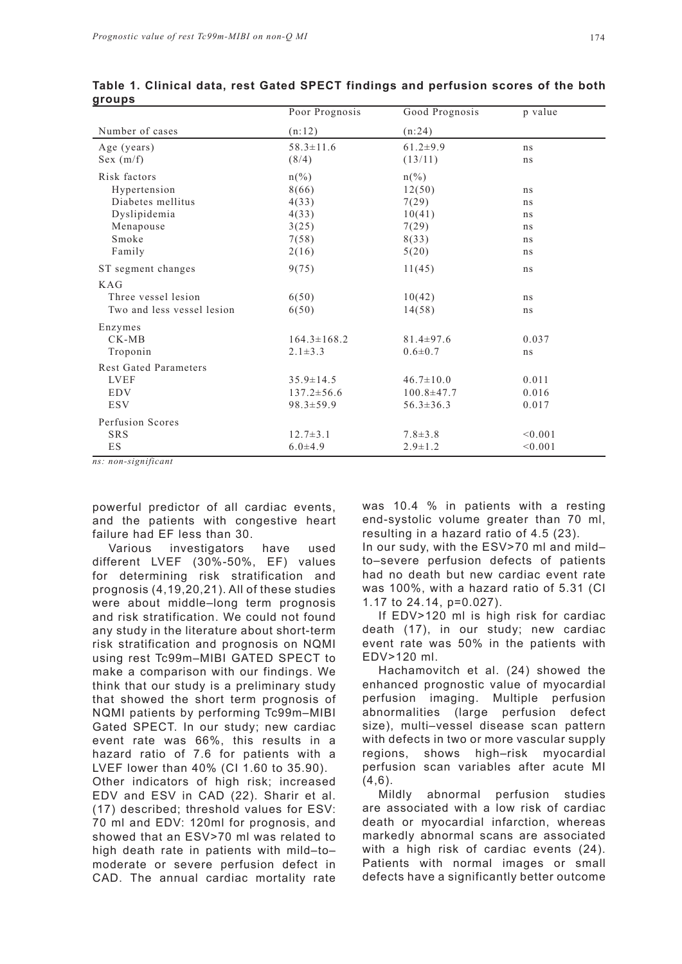| $\cdot$ $\cdot$ $\cdot$      | Poor Prognosis    | Good Prognosis   | p value |  |
|------------------------------|-------------------|------------------|---------|--|
| Number of cases              | (n:12)            | (n:24)           |         |  |
| Age (years)                  | $58.3 \pm 11.6$   | $61.2 \pm 9.9$   | ns      |  |
| Sex (m/f)                    | (8/4)             | (13/11)          | ns      |  |
| Risk factors                 | $n(\%)$           | $n(\%)$          |         |  |
| Hypertension                 | 8(66)             | 12(50)           | ns      |  |
| Diabetes mellitus            | 4(33)             | 7(29)            | ns      |  |
| Dyslipidemia                 | 4(33)             | 10(41)           | ns      |  |
| Menapouse                    | 3(25)             | 7(29)            | ns      |  |
| Smoke                        | 7(58)             | 8(33)            | ns      |  |
| Family                       | 2(16)             | 5(20)            | ns      |  |
| ST segment changes           | 9(75)             | 11(45)           | ns      |  |
| KAG                          |                   |                  |         |  |
| Three vessel lesion          | 6(50)             | 10(42)           | ns      |  |
| Two and less vessel lesion   | 6(50)             | 14(58)           | ns      |  |
| Enzymes                      |                   |                  |         |  |
| $CK-MB$                      | $164.3 \pm 168.2$ | $81.4 \pm 97.6$  | 0.037   |  |
| Troponin                     | $2.1 \pm 3.3$     | $0.6 \pm 0.7$    | ns      |  |
| <b>Rest Gated Parameters</b> |                   |                  |         |  |
| <b>LVEF</b>                  | $35.9 \pm 14.5$   | $46.7 \pm 10.0$  | 0.011   |  |
| <b>EDV</b>                   | $137.2 \pm 56.6$  | $100.8 \pm 47.7$ | 0.016   |  |
| <b>ESV</b>                   | $98.3 \pm 59.9$   | $56.3 \pm 36.3$  | 0.017   |  |
| Perfusion Scores             |                   |                  |         |  |
| <b>SRS</b>                   | $12.7 \pm 3.1$    | $7.8 \pm 3.8$    | < 0.001 |  |
| ES                           | $6.0{\pm}4.9$     | $2.9 \pm 1.2$    | < 0.001 |  |

**Table 1. Clinical data, rest Gated SPECT findings and perfusion scores of the both groups**

*ns: non-significant*

powerful predictor of all cardiac events, and the patients with congestive heart failure had EF less than 30.

Various investigators have used different LVEF (30%-50%, EF) values for determining risk stratification and prognosis (4,19,20,21). All of these studies were about middle–long term prognosis and risk stratification. We could not found any study in the literature about short-term risk stratification and prognosis on NQMI using rest Tc99m–MIBI GATED SPECT to make a comparison with our findings. We think that our study is a preliminary study that showed the short term prognosis of NQMI patients by performing Tc99m–MIBI Gated SPECT. In our study; new cardiac event rate was 66%, this results in a hazard ratio of 7.6 for patients with a LVEF lower than 40% (CI 1.60 to 35.90). Other indicators of high risk; increased EDV and ESV in CAD (22). Sharir et al. (17) described; threshold values for ESV: 70 ml and EDV: 120ml for prognosis, and showed that an ESV>70 ml was related to high death rate in patients with mild–to– moderate or severe perfusion defect in CAD. The annual cardiac mortality rate was 10.4 % in patients with a resting end-systolic volume greater than 70 ml, resulting in a hazard ratio of 4.5 (23).

In our sudy, with the ESV>70 ml and mild– to–severe perfusion defects of patients had no death but new cardiac event rate was 100%, with a hazard ratio of 5.31 (CI 1.17 to 24.14, p=0.027).

If EDV>120 ml is high risk for cardiac death (17), in our study; new cardiac event rate was 50% in the patients with EDV>120 ml.

Hachamovitch et al. (24) showed the enhanced prognostic value of myocardial perfusion imaging. Multiple perfusion abnormalities (large perfusion defect size), multi–vessel disease scan pattern with defects in two or more vascular supply regions, shows high–risk myocardial perfusion scan variables after acute MI  $(4,6)$ .

Mildly abnormal perfusion studies are associated with a low risk of cardiac death or myocardial infarction, whereas markedly abnormal scans are associated with a high risk of cardiac events (24). Patients with normal images or small defects have a significantly better outcome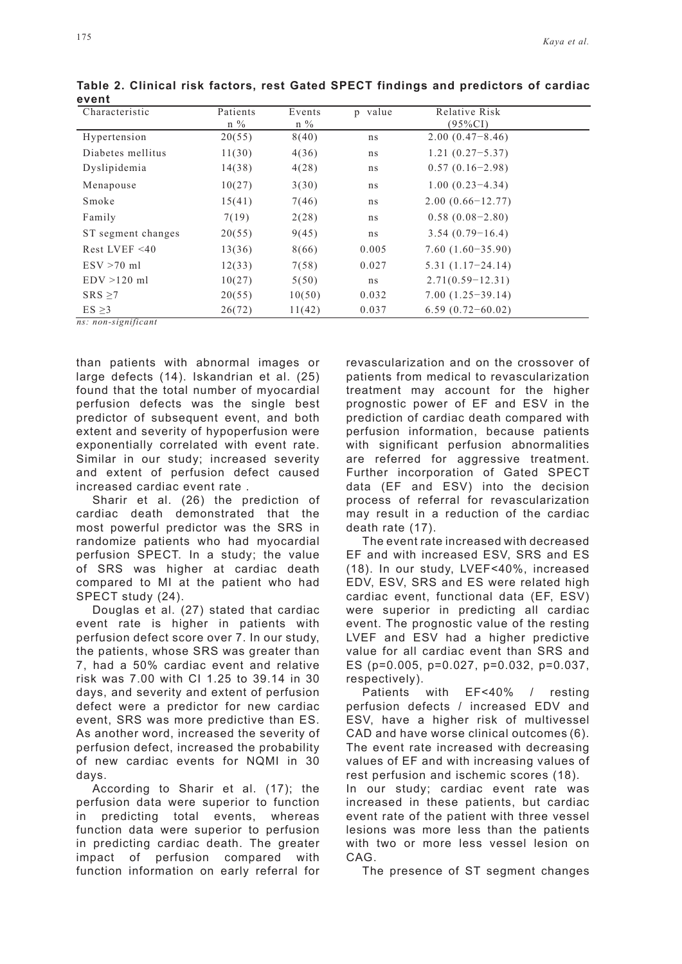| Characteristic     | Patients | Events | p value | Relative Risk        |  |
|--------------------|----------|--------|---------|----------------------|--|
|                    | $n\%$    | $n\%$  |         | $(95\%CI)$           |  |
| Hypertension       | 20(55)   | 8(40)  | ns      | $2.00(0.47-8.46)$    |  |
| Diabetes mellitus  | 11(30)   | 4(36)  | ns      | $1.21(0.27 - 5.37)$  |  |
| Dyslipidemia       | 14(38)   | 4(28)  | ns      | $0.57(0.16-2.98)$    |  |
| Menapouse          | 10(27)   | 3(30)  | ns      | $1.00(0.23-4.34)$    |  |
| Smoke              | 15(41)   | 7(46)  | ns      | $2.00(0.66 - 12.77)$ |  |
| Family             | 7(19)    | 2(28)  | ns      | $0.58(0.08-2.80)$    |  |
| ST segment changes | 20(55)   | 9(45)  | ns      | $3.54(0.79-16.4)$    |  |
| Rest LVEF $<$ 40   | 13(36)   | 8(66)  | 0.005   | $7.60(1.60-35.90)$   |  |
| $ESV > 70$ ml      | 12(33)   | 7(58)  | 0.027   | $5.31(1.17-24.14)$   |  |
| $EDV > 120$ ml     | 10(27)   | 5(50)  | ns      | $2.71(0.59-12.31)$   |  |
| $SRS \geq 7$       | 20(55)   | 10(50) | 0.032   | $7.00(1.25-39.14)$   |  |
| ES > 3             | 26(72)   | 11(42) | 0.037   | $6.59(0.72 - 60.02)$ |  |

**Table 2. Clinical risk factors, rest Gated SPECT findings and predictors of cardiac event**

than patients with abnormal images or large defects (14). Iskandrian et al. (25) found that the total number of myocardial perfusion defects was the single best predictor of subsequent event, and both extent and severity of hypoperfusion were exponentially correlated with event rate. Similar in our study; increased severity and extent of perfusion defect caused increased cardiac event rate .

Sharir et al. (26) the prediction of cardiac death demonstrated that the most powerful predictor was the SRS in randomize patients who had myocardial perfusion SPECT. In a study; the value of SRS was higher at cardiac death compared to MI at the patient who had SPECT study (24).

Douglas et al. (27) stated that cardiac event rate is higher in patients with perfusion defect score over 7. In our study, the patients, whose SRS was greater than 7, had a 50% cardiac event and relative risk was 7.00 with CI 1.25 to 39.14 in 30 days, and severity and extent of perfusion defect were a predictor for new cardiac event, SRS was more predictive than ES. As another word, increased the severity of perfusion defect, increased the probability of new cardiac events for NQMI in 30 days.

According to Sharir et al. (17); the perfusion data were superior to function in predicting total events, whereas function data were superior to perfusion in predicting cardiac death. The greater impact of perfusion compared with function information on early referral for revascularization and on the crossover of patients from medical to revascularization treatment may account for the higher prognostic power of EF and ESV in the prediction of cardiac death compared with perfusion information, because patients with significant perfusion abnormalities are referred for aggressive treatment. Further incorporation of Gated SPECT data (EF and ESV) into the decision process of referral for revascularization may result in a reduction of the cardiac death rate (17).

The event rate increased with decreased EF and with increased ESV, SRS and ES (18). In our study, LVEF<40%, increased EDV, ESV, SRS and ES were related high cardiac event, functional data (EF, ESV) were superior in predicting all cardiac event. The prognostic value of the resting LVEF and ESV had a higher predictive value for all cardiac event than SRS and ES (p=0.005, p=0.027, p=0.032, p=0.037, respectively).

Patients with EF<40% / resting perfusion defects / increased EDV and ESV, have a higher risk of multivessel CAD and have worse clinical outcomes (6). The event rate increased with decreasing values of EF and with increasing values of rest perfusion and ischemic scores (18).

In our study; cardiac event rate was increased in these patients, but cardiac event rate of the patient with three vessel lesions was more less than the patients with two or more less vessel lesion on CAG.

The presence of ST segment changes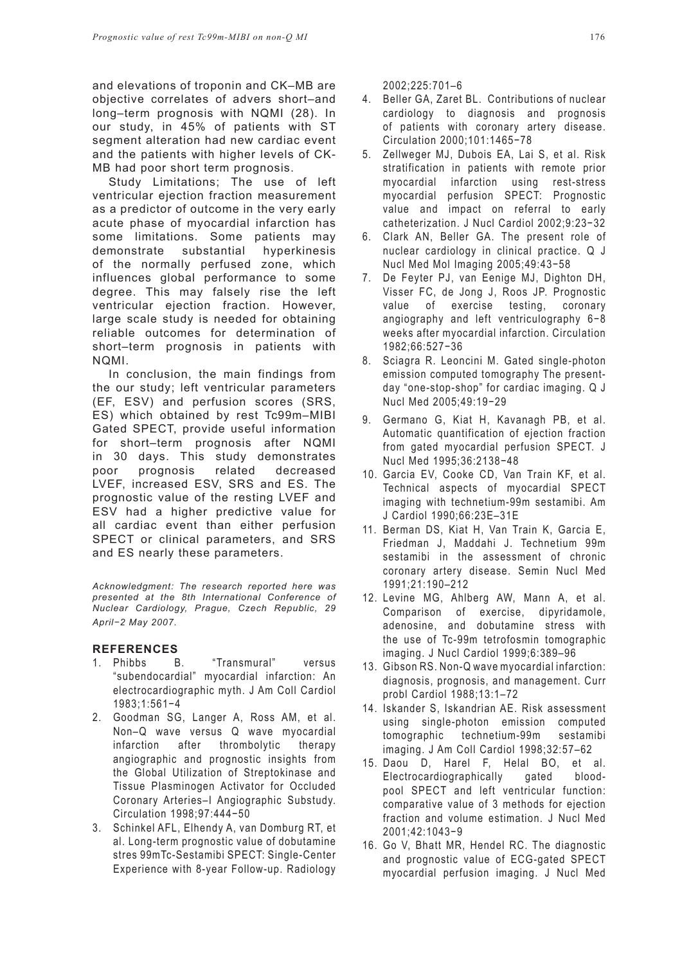and elevations of troponin and CK–MB are objective correlates of advers short–and long–term prognosis with NQMI (28). In our study, in 45% of patients with ST segment alteration had new cardiac event and the patients with higher levels of CK-MB had poor short term prognosis.

Study Limitations; The use of left ventricular ejection fraction measurement as a predictor of outcome in the very early acute phase of myocardial infarction has some limitations. Some patients may demonstrate substantial hyperkinesis of the normally perfused zone, which influences global performance to some degree. This may falsely rise the left ventricular ejection fraction. However, large scale study is needed for obtaining reliable outcomes for determination of short–term prognosis in patients with NQMI.

In conclusion, the main findings from the our study; left ventricular parameters (EF, ESV) and perfusion scores (SRS, ES) which obtained by rest Tc99m–MIBI Gated SPECT, provide useful information for short–term prognosis after NQMI in 30 days. This study demonstrates poor prognosis related decreased LVEF, increased ESV, SRS and ES. The prognostic value of the resting LVEF and ESV had a higher predictive value for all cardiac event than either perfusion SPECT or clinical parameters, and SRS and ES nearly these parameters.

*Acknowledgment: The research reported here was presented at the 8th International Conference of Nuclear Cardiology, Prague, Czech Republic, 29 April−2 May 2007.* 

### **REFERENCES**

- 1. Phibbs B. "Transmural" versus "subendocardial" myocardial infarction: An electrocardiographic myth. J Am Coll Cardiol 1983;1:561−4
- 2. Goodman SG, Langer A, Ross AM, et al. Non–Q wave versus Q wave myocardial infarction after thrombolytic therapy angiographic and prognostic insights from the Global Utilization of Streptokinase and Tissue Plasminogen Activator for Occluded Coronary Arteries–I Angiographic Substudy. Circulation 1998;97:444−50
- 3. Schinkel AFL, Elhendy A, van Domburg RT, et al. Long-term prognostic value of dobutamine stres 99mTc-Sestamibi SPECT: Single-Center Experience with 8-year Follow-up. Radiology

2002;225:701–6

- 4. Beller GA, Zaret BL. Contributions of nuclear cardiology to diagnosis and prognosis of patients with coronary artery disease. Circulation 2000;101:1465−78
- 5. Zellweger MJ, Dubois EA, Lai S, et al. Risk stratification in patients with remote prior myocardial infarction using rest-stress myocardial perfusion SPECT: Prognostic value and impact on referral to early catheterization. J Nucl Cardiol 2002;9:23−32
- 6. Clark AN, Beller GA. The present role of nuclear cardiology in clinical practice. Q J Nucl Med Mol Imaging 2005;49:43−58
- 7. De Feyter PJ, van Eenige MJ, Dighton DH, Visser FC, de Jong J, Roos JP. Prognostic value of exercise testing, coronary angiography and left ventriculography 6−8 weeks after myocardial infarction. Circulation 1982;66:527−36
- 8. Sciagra R. Leoncini M. Gated single-photon emission computed tomography The presentday "one-stop-shop" for cardiac imaging. Q J Nucl Med 2005;49:19−29
- 9. Germano G, Kiat H, Kavanagh PB, et al. Automatic quantification of ejection fraction from gated myocardial perfusion SPECT. J Nucl Med 1995;36:2138−48
- 10. Garcia EV, Cooke CD, Van Train KF, et al. Technical aspects of myocardial SPECT imaging with technetium-99m sestamibi. Am J Cardiol 1990;66:23E–31E
- 11. Berman DS, Kiat H, Van Train K, Garcia E, Friedman J, Maddahi J. Technetium 99m sestamibi in the assessment of chronic coronary artery disease. Semin Nucl Med 1991;21:190–212
- 12. Levine MG, Ahlberg AW, Mann A, et al. Comparison of exercise, dipyridamole, adenosine, and dobutamine stress with the use of Tc-99m tetrofosmin tomographic imaging. J Nucl Cardiol 1999;6:389–96
- 13. Gibson RS. Non-Q wave myocardial infarction: diagnosis, prognosis, and management. Curr probl Cardiol 1988;13:1–72
- 14. Iskander S, Iskandrian AE. Risk assessment using single-photon emission computed tomographic technetium-99m sestamibi imaging. J Am Coll Cardiol 1998;32:57–62
- 15. Daou D, Harel F, Helal BO, et al. Electrocardiographically gated bloodpool SPECT and left ventricular function: comparative value of 3 methods for ejection fraction and volume estimation. J Nucl Med 2001;42:1043−9
- 16. Go V, Bhatt MR, Hendel RC. The diagnostic and prognostic value of ECG-gated SPECT myocardial perfusion imaging. J Nucl Med